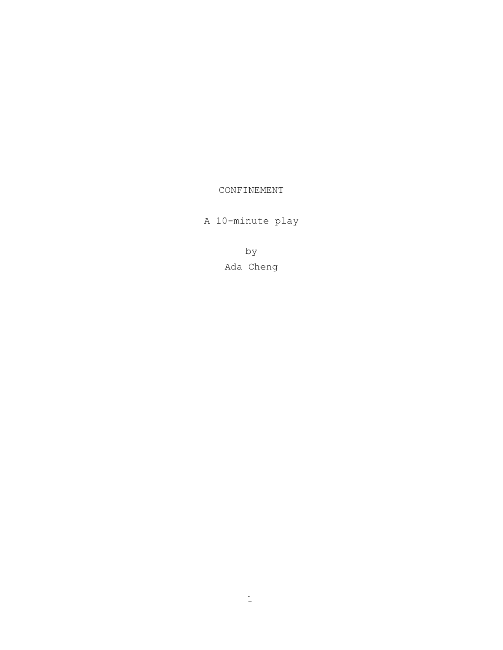# CONFINEMENT

A 10-minute play

by Ada Cheng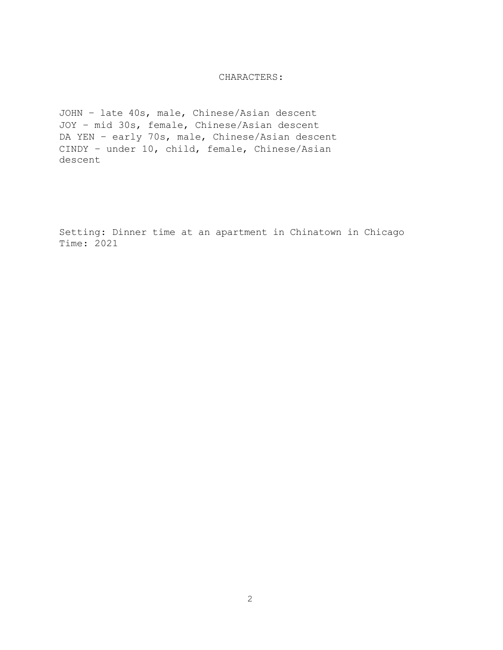# CHARACTERS:

JOHN – late 40s, male, Chinese/Asian descent JOY – mid 30s, female, Chinese/Asian descent DA YEN - early 70s, male, Chinese/Asian descent CINDY – under 10, child, female, Chinese/Asian descent

Setting: Dinner time at an apartment in Chinatown in Chicago Time: 2021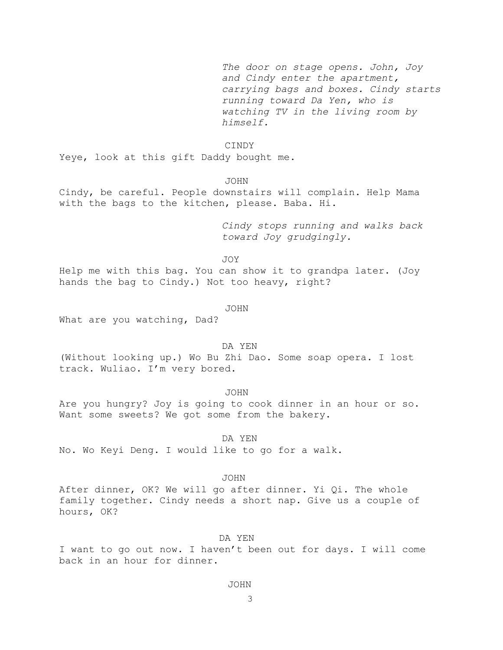*The door on stage opens. John, Joy and Cindy enter the apartment, carrying bags and boxes. Cindy starts running toward Da Yen, who is watching TV in the living room by himself.*

### CINDY

Yeye, look at this gift Daddy bought me.

### JOHN

Cindy, be careful. People downstairs will complain. Help Mama with the bags to the kitchen, please. Baba. Hi.

> *Cindy stops running and walks back toward Joy grudgingly.*

JOY

Help me with this bag. You can show it to grandpa later. (Joy hands the bag to Cindy.) Not too heavy, right?

#### JOHN

What are you watching, Dad?

#### DA YEN

(Without looking up.) Wo Bu Zhi Dao. Some soap opera. I lost track. Wuliao. I'm very bored.

### JOHN

Are you hungry? Joy is going to cook dinner in an hour or so. Want some sweets? We got some from the bakery.

### DA YEN

No. Wo Keyi Deng. I would like to go for a walk.

### JOHN

After dinner, OK? We will go after dinner. Yi Qi. The whole family together. Cindy needs a short nap. Give us a couple of hours, OK?

### DA YEN

I want to go out now. I haven't been out for days. I will come back in an hour for dinner.

### JOHN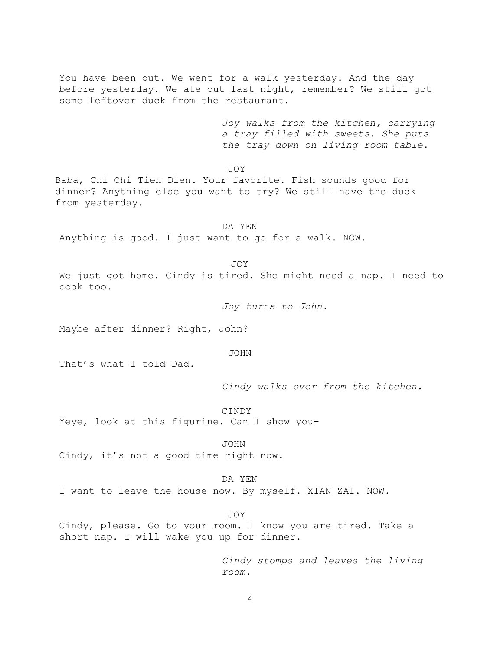You have been out. We went for a walk yesterday. And the day before yesterday. We ate out last night, remember? We still got some leftover duck from the restaurant.

> *Joy walks from the kitchen, carrying a tray filled with sweets. She puts the tray down on living room table.*

JOY

Baba, Chi Chi Tien Dien. Your favorite. Fish sounds good for dinner? Anything else you want to try? We still have the duck from yesterday.

DA YEN

Anything is good. I just want to go for a walk. NOW.

JOY

We just got home. Cindy is tired. She might need a nap. I need to cook too.

*Joy turns to John.*

Maybe after dinner? Right, John?

JOHN

That's what I told Dad.

*Cindy walks over from the kitchen.*

CINDY Yeye, look at this figurine. Can I show you-

JOHN

Cindy, it's not a good time right now.

# DA YEN

I want to leave the house now. By myself. XIAN ZAI. NOW.

#### JOY

Cindy, please. Go to your room. I know you are tired. Take a short nap. I will wake you up for dinner.

> *Cindy stomps and leaves the living room.*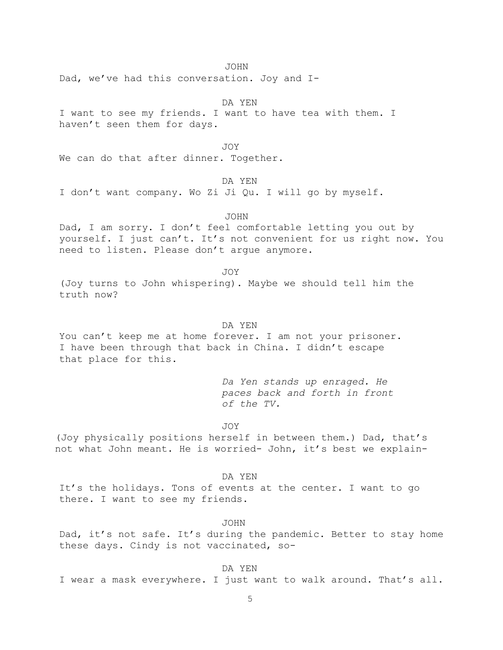JOHN

Dad, we've had this conversation. Joy and I-

DA YEN I want to see my friends. I want to have tea with them. I haven't seen them for days.

JOY

We can do that after dinner. Together.

DA YEN

I don't want company. Wo Zi Ji Qu. I will go by myself.

JOHN

Dad, I am sorry. I don't feel comfortable letting you out by yourself. I just can't. It's not convenient for us right now. You need to listen. Please don't argue anymore.

JOY

(Joy turns to John whispering). Maybe we should tell him the truth now?

DA YEN

You can't keep me at home forever. I am not your prisoner. I have been through that back in China. I didn't escape that place for this.

> *Da Yen stands up enraged. He paces back and forth in front of the TV.*

JOY

(Joy physically positions herself in between them.) Dad, that's not what John meant. He is worried- John, it's best we explain-

DA YEN

It's the holidays. Tons of events at the center. I want to go there. I want to see my friends.

JOHN

Dad, it's not safe. It's during the pandemic. Better to stay home these days. Cindy is not vaccinated, so-

DA YEN

I wear a mask everywhere. I just want to walk around. That's all.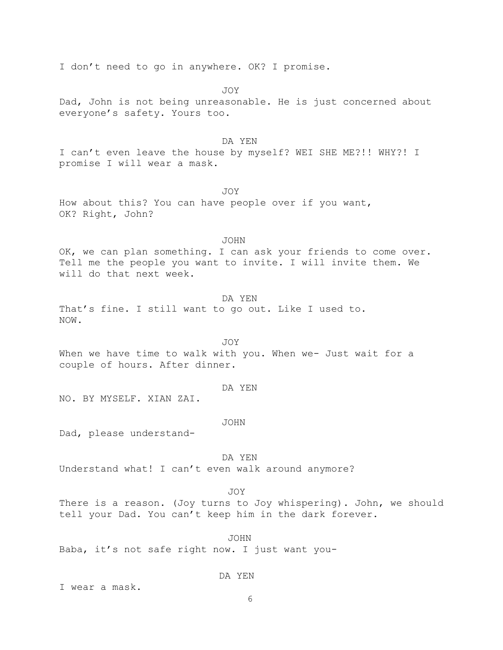I don't need to go in anywhere. OK? I promise.

JOY

Dad, John is not being unreasonable. He is just concerned about everyone's safety. Yours too.

### DA YEN

I can't even leave the house by myself? WEI SHE ME?!! WHY?! I promise I will wear a mask.

JOY

How about this? You can have people over if you want, OK? Right, John?

JOHN

OK, we can plan something. I can ask your friends to come over. Tell me the people you want to invite. I will invite them. We will do that next week.

DA YEN

That's fine. I still want to go out. Like I used to. NOW.

JOY When we have time to walk with you. When we- Just wait for a couple of hours. After dinner.

DA YEN

NO. BY MYSELF. XIAN ZAI.

JOHN

Dad, please understand-

DA YEN

Understand what! I can't even walk around anymore?

## JOY

There is a reason. (Joy turns to Joy whispering). John, we should tell your Dad. You can't keep him in the dark forever.

JOHN Baba, it's not safe right now. I just want you-

DA YEN

I wear a mask.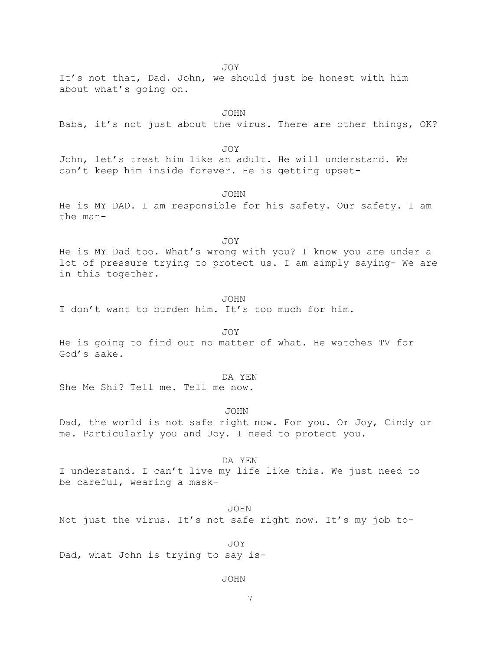JOY

It's not that, Dad. John, we should just be honest with him about what's going on.

JOHN

Baba, it's not just about the virus. There are other things, OK?

JOY

John, let's treat him like an adult. He will understand. We can't keep him inside forever. He is getting upset-

JOHN

He is MY DAD. I am responsible for his safety. Our safety. I am the man-

JOY

He is MY Dad too. What's wrong with you? I know you are under a lot of pressure trying to protect us. I am simply saying- We are in this together.

JOHN

I don't want to burden him. It's too much for him.

JOY

He is going to find out no matter of what. He watches TV for God's sake.

#### DA YEN

She Me Shi? Tell me. Tell me now.

JOHN

Dad, the world is not safe right now. For you. Or Joy, Cindy or me. Particularly you and Joy. I need to protect you.

DA YEN I understand. I can't live my life like this. We just need to be careful, wearing a mask-

#### JOHN

Not just the virus. It's not safe right now. It's my job to-

JOY Dad, what John is trying to say is-

### JOHN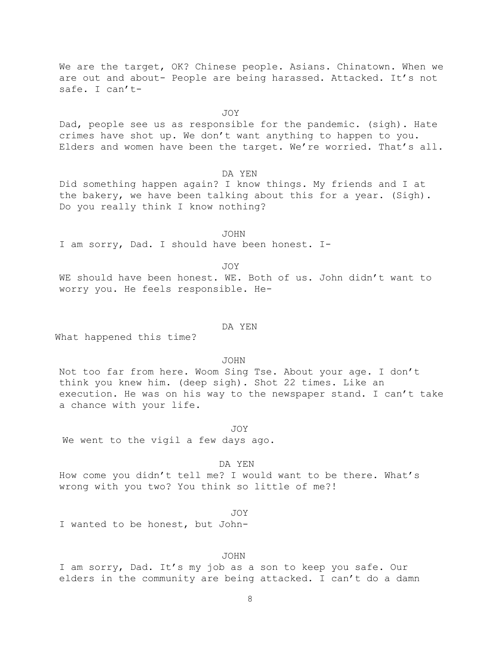We are the target, OK? Chinese people. Asians. Chinatown. When we are out and about- People are being harassed. Attacked. It's not safe. I can't-

JOY

Dad, people see us as responsible for the pandemic. (sigh). Hate crimes have shot up. We don't want anything to happen to you. Elders and women have been the target. We're worried. That's all.

DA YEN

Did something happen again? I know things. My friends and I at the bakery, we have been talking about this for a year. (Sigh). Do you really think I know nothing?

JOHN I am sorry, Dad. I should have been honest. I-

JOY

WE should have been honest. WE. Both of us. John didn't want to worry you. He feels responsible. He-

DA YEN

What happened this time?

JOHN

Not too far from here. Woom Sing Tse. About your age. I don't think you knew him. (deep sigh). Shot 22 times. Like an execution. He was on his way to the newspaper stand. I can't take a chance with your life.

JOY We went to the vigil a few days ago.

DA YEN

How come you didn't tell me? I would want to be there. What's wrong with you two? You think so little of me?!

JOY

I wanted to be honest, but John-

### JOHN

I am sorry, Dad. It's my job as a son to keep you safe. Our elders in the community are being attacked. I can't do a damn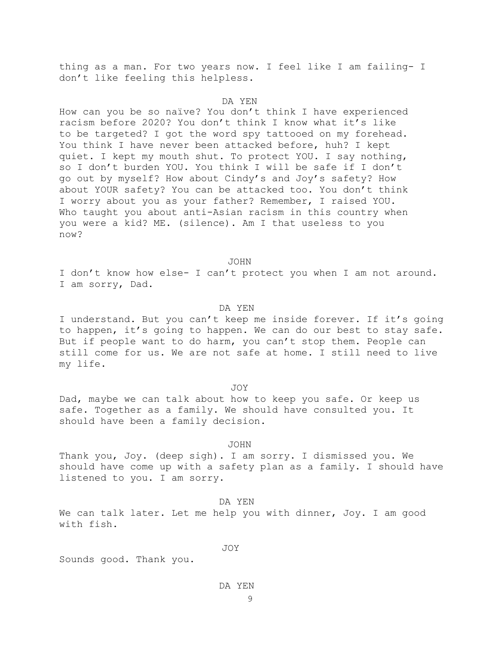thing as a man. For two years now. I feel like I am failing- I don't like feeling this helpless.

#### DA YEN

How can you be so naïve? You don't think I have experienced racism before 2020? You don't think I know what it's like to be targeted? I got the word spy tattooed on my forehead. You think I have never been attacked before, huh? I kept quiet. I kept my mouth shut. To protect YOU. I say nothing, so I don't burden YOU. You think I will be safe if I don't go out by myself? How about Cindy's and Joy's safety? How about YOUR safety? You can be attacked too. You don't think I worry about you as your father? Remember, I raised YOU. Who taught you about anti-Asian racism in this country when you were a kid? ME. (silence). Am I that useless to you now?

JOHN

I don't know how else- I can't protect you when I am not around. I am sorry, Dad.

### DA YEN

I understand. But you can't keep me inside forever. If it's going to happen, it's going to happen. We can do our best to stay safe. But if people want to do harm, you can't stop them. People can still come for us. We are not safe at home. I still need to live my life.

JOY

Dad, maybe we can talk about how to keep you safe. Or keep us safe. Together as a family. We should have consulted you. It should have been a family decision.

#### JOHN

Thank you, Joy. (deep sigh). I am sorry. I dismissed you. We should have come up with a safety plan as a family. I should have listened to you. I am sorry.

DA YEN

We can talk later. Let me help you with dinner, Joy. I am good with fish.

JOY

Sounds good. Thank you.

#### DA YEN